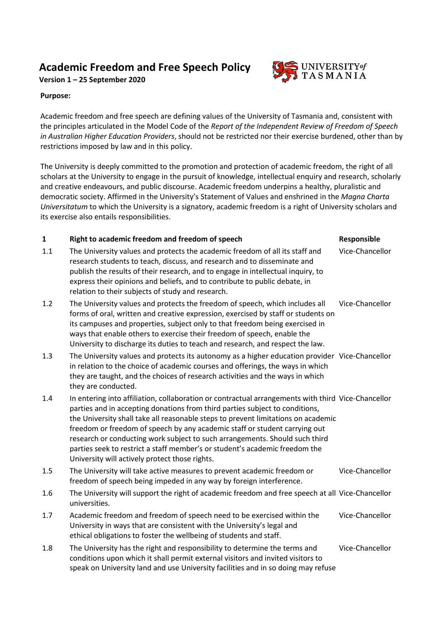## **Academic Freedom and Free Speech Policy**

**Version 1 – 25 September 2020**

## **Purpose:**

Academic freedom and free speech are defining values of the University of Tasmania and, consistent with the principles articulated in the Model Code of the *Report of the Independent Review of Freedom of Speech in Australian Higher Education Providers*, should not be restricted nor their exercise burdened, other than by restrictions imposed by law and in this policy.

The University is deeply committed to the promotion and protection of academic freedom, the right of all scholars at the University to engage in the pursuit of knowledge, intellectual enquiry and research, scholarly and creative endeavours, and public discourse. Academic freedom underpins a healthy, pluralistic and democratic society. Affirmed in the University's Statement of Values and enshrined in the *Magna Charta Universitatum* to which the University is a signatory, academic freedom is a right of University scholars and its exercise also entails responsibilities.

## **1 Right to academic freedom and freedom of speech <b>Responsible**

- 1.1 The University values and protects the academic freedom of all its staff and research students to teach, discuss, and research and to disseminate and publish the results of their research, and to engage in intellectual inquiry, to express their opinions and beliefs, and to contribute to public debate, in relation to their subjects of study and research.
- 1.2 The University values and protects the freedom of speech, which includes all forms of oral, written and creative expression, exercised by staff or students on its campuses and properties, subject only to that freedom being exercised in ways that enable others to exercise their freedom of speech, enable the University to discharge its duties to teach and research, and respect the law. Vice-Chancellor
- 1.3 The University values and protects its autonomy as a higher education provider Vice-Chancellor in relation to the choice of academic courses and offerings, the ways in which they are taught, and the choices of research activities and the ways in which they are conducted.
- 1.4 In entering into affiliation, collaboration or contractual arrangements with third Vice-Chancellor parties and in accepting donations from third parties subject to conditions, the University shall take all reasonable steps to prevent limitations on academic freedom or freedom of speech by any academic staff or student carrying out research or conducting work subject to such arrangements. Should such third parties seek to restrict a staff member's or student's academic freedom the University will actively protect those rights.
- 1.5 The University will take active measures to prevent academic freedom or freedom of speech being impeded in any way by foreign interference. Vice-Chancellor
- 1.6 The University will support the right of academic freedom and free speech at all Vice-Chancellor universities.
- 1.7 Academic freedom and freedom of speech need to be exercised within the University in ways that are consistent with the University's legal and ethical obligations to foster the wellbeing of students and staff. Vice-Chancellor
- 1.8 The University has the right and responsibility to determine the terms and conditions upon which it shall permit external visitors and invited visitors to speak on University land and use University facilities and in so doing may refuse Vice-Chancellor



Vice-Chancellor